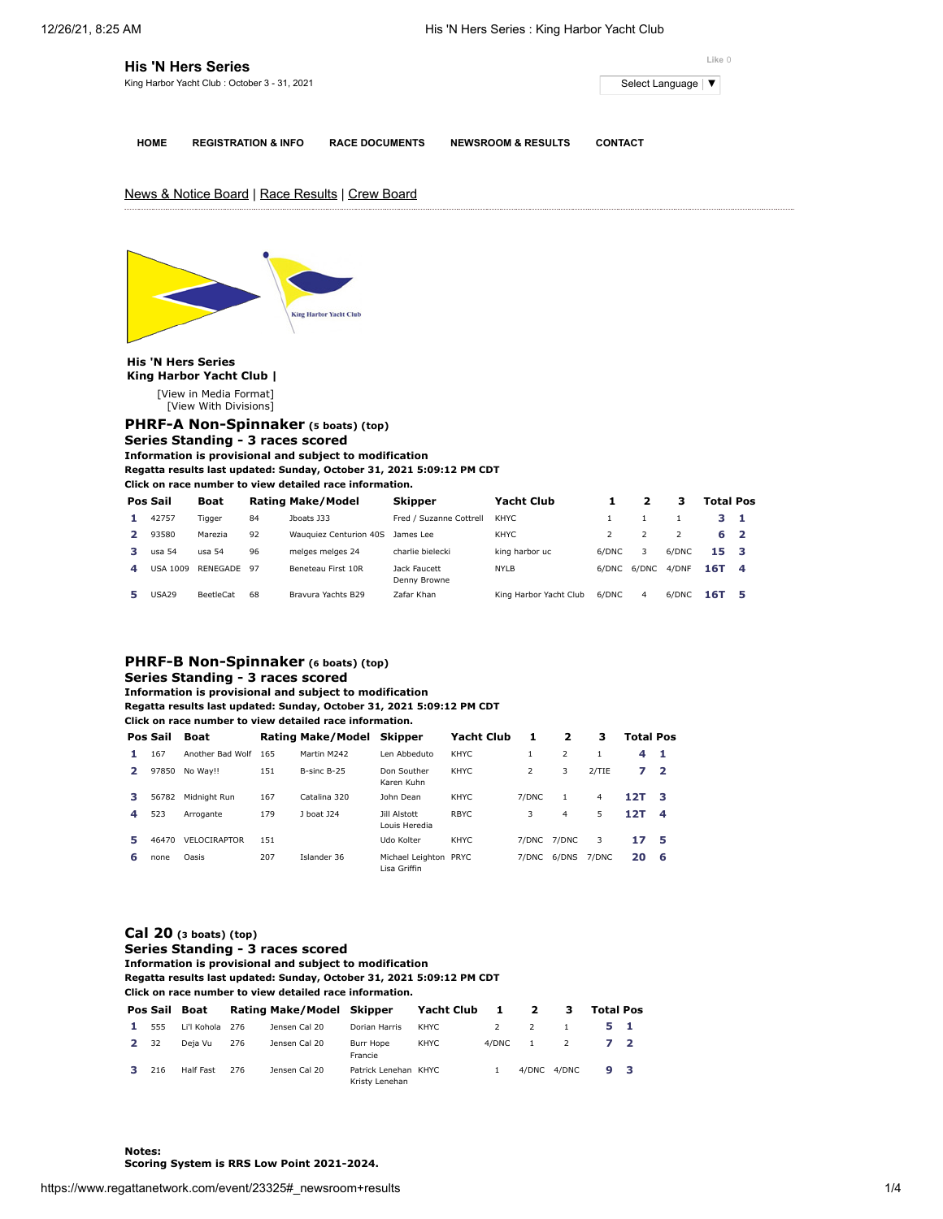**Like** 0

|   |                           | <b>His 'N Hers Series</b><br>King Harbor Yacht Club: October 3 - 31, 2021 |    |                                                                                                                                                                                                                                                                        |                              |                               |                |                         | Select Language | ▼                |   |
|---|---------------------------|---------------------------------------------------------------------------|----|------------------------------------------------------------------------------------------------------------------------------------------------------------------------------------------------------------------------------------------------------------------------|------------------------------|-------------------------------|----------------|-------------------------|-----------------|------------------|---|
|   | <b>HOME</b>               | <b>REGISTRATION &amp; INFO</b>                                            |    | <b>RACE DOCUMENTS</b>                                                                                                                                                                                                                                                  |                              | <b>NEWSROOM &amp; RESULTS</b> | <b>CONTACT</b> |                         |                 |                  |   |
|   |                           |                                                                           |    | News & Notice Board   Race Results   Crew Board                                                                                                                                                                                                                        |                              |                               |                |                         |                 |                  |   |
|   |                           |                                                                           |    | <b>King Harbor Yacht Club</b>                                                                                                                                                                                                                                          |                              |                               |                |                         |                 |                  |   |
|   |                           |                                                                           |    |                                                                                                                                                                                                                                                                        |                              |                               |                |                         |                 |                  |   |
|   | <b>His 'N Hers Series</b> |                                                                           |    |                                                                                                                                                                                                                                                                        |                              |                               |                |                         |                 |                  |   |
|   |                           | King Harbor Yacht Club  <br>[View in Media Format]                        |    |                                                                                                                                                                                                                                                                        |                              |                               |                |                         |                 |                  |   |
|   |                           | [View With Divisions]                                                     |    |                                                                                                                                                                                                                                                                        |                              |                               |                |                         |                 |                  |   |
|   |                           |                                                                           |    | PHRF-A Non-Spinnaker (5 boats) (top)<br>Series Standing - 3 races scored<br>Information is provisional and subject to modification<br>Regatta results last updated: Sunday, October 31, 2021 5:09:12 PM CDT<br>Click on race number to view detailed race information. |                              |                               |                |                         |                 |                  |   |
|   | Pos Sail                  | Boat                                                                      |    | <b>Rating Make/Model</b>                                                                                                                                                                                                                                               | Skipper                      | <b>Yacht Club</b>             | 1              | $\overline{\mathbf{2}}$ | з               | <b>Total Pos</b> |   |
| 1 | 42757                     | Tigger                                                                    | 84 | Jboats J33                                                                                                                                                                                                                                                             | Fred / Suzanne Cottrell      | KHYC                          | $\mathbf{1}$   | $\mathbf{1}$            | $\mathbf{1}$    | з                | 1 |
| 2 | 93580                     | Marezia                                                                   | 92 | Wauquiez Centurion 40S                                                                                                                                                                                                                                                 | James Lee                    | <b>KHYC</b>                   | $\overline{2}$ | $\overline{2}$          | $\overline{2}$  | 6                | 2 |
| з | usa 54                    | usa 54                                                                    | 96 | melges melges 24                                                                                                                                                                                                                                                       | charlie bielecki             | king harbor uc                | 6/DNC          | 3                       | 6/DNC           | 15               | з |
| 4 |                           | USA 1009 RENEGADE                                                         | 97 | Beneteau First 10R                                                                                                                                                                                                                                                     | Jack Faucett<br>Denny Browne | <b>NYLB</b>                   |                | 6/DNC 6/DNC             | 4/DNF           | 16T              | 4 |

## **Series Standing - 3 races scored**

**Information is provisional and subject to modification**

## **Regatta results last updated: Sunday, October 31, 2021 5:09:12 PM CDT**

**Click on race number to view detailed race information.**

|               | Pos Sail | Boat                |     | Rating Make/Model Skipper |                                       | <b>Yacht Club</b> |       | 2                        | з     | <b>Total Pos</b> |                |
|---------------|----------|---------------------|-----|---------------------------|---------------------------------------|-------------------|-------|--------------------------|-------|------------------|----------------|
| 1.            | 167      | Another Bad Wolf    | 165 | Martin M242               | Len Abbeduto                          | KHYC.             | 1     | $\overline{\phantom{a}}$ |       | 4                | - 1            |
| $\mathcal{P}$ | 97850    | No Wav!!            | 151 | B-sinc B-25               | Don Souther<br>Karen Kuhn             | KHYC.             | 2     | 3                        | 2/TIE | 7                | $\overline{2}$ |
| з.            | 56782    | Midnight Run        | 167 | Catalina 320              | John Dean                             | <b>KHYC</b>       | 7/DNC |                          | 4     | 12T              | - 3            |
| 4             | 523      | Arrogante           | 179 | 1 hoat 124                | Jill Alstott<br>Louis Heredia         | RBYC.             | 3     | 4                        | 5.    | 12T              | $\overline{4}$ |
| 5             | 46470    | <b>VELOCIRAPTOR</b> | 151 |                           | Udo Kolter                            | KHYC.             |       | 7/DNC 7/DNC              | 3     | 17               | - 5            |
| 6             | none     | Oasis               | 207 | Islander 36               | Michael Leighton PRYC<br>Lisa Griffin |                   | 7/DNC | 6/DNS                    | 7/DNC | 20               | - 6            |

## **[Cal 20](https://www.regattanetwork.com/clubmgmt/applet_regatta_results.php?regatta_id=23325&show_manufacturer=1&show_crew=1&limit_fleet=Cal+20) (3 boats) (top)**

**Series Standing - 3 races scored**

**Information is provisional and subject to modification Regatta results last updated: Sunday, October 31, 2021 5:09:12 PM CDT**

**Click on race number to view detailed race information.**

|      |     | Pos Sail Boat   |     | Rating Make/Model Skipper |                                        | Yacht Club 1 |               | $\overline{\mathbf{2}}$ | з              | <b>Total Pos</b> |  |
|------|-----|-----------------|-----|---------------------------|----------------------------------------|--------------|---------------|-------------------------|----------------|------------------|--|
| 1.   | 555 | Li'l Kohola 276 |     | Jensen Cal 20             | Dorian Harris                          | KHYC         | $\mathcal{P}$ | $\overline{2}$          | $\overline{1}$ | 51               |  |
| 2 32 |     | Deja Vu         | 276 | Jensen Cal 20             | Burr Hope<br>Francie                   | KHYC         | 4/DNC         | <sup>1</sup>            | <sup>2</sup>   | 72               |  |
| з.   | 216 | Half Fast       | 276 | Jensen Cal 20             | Patrick Lenehan KHYC<br>Kristy Lenehan |              |               |                         | 4/DNC 4/DNC    | 9 3              |  |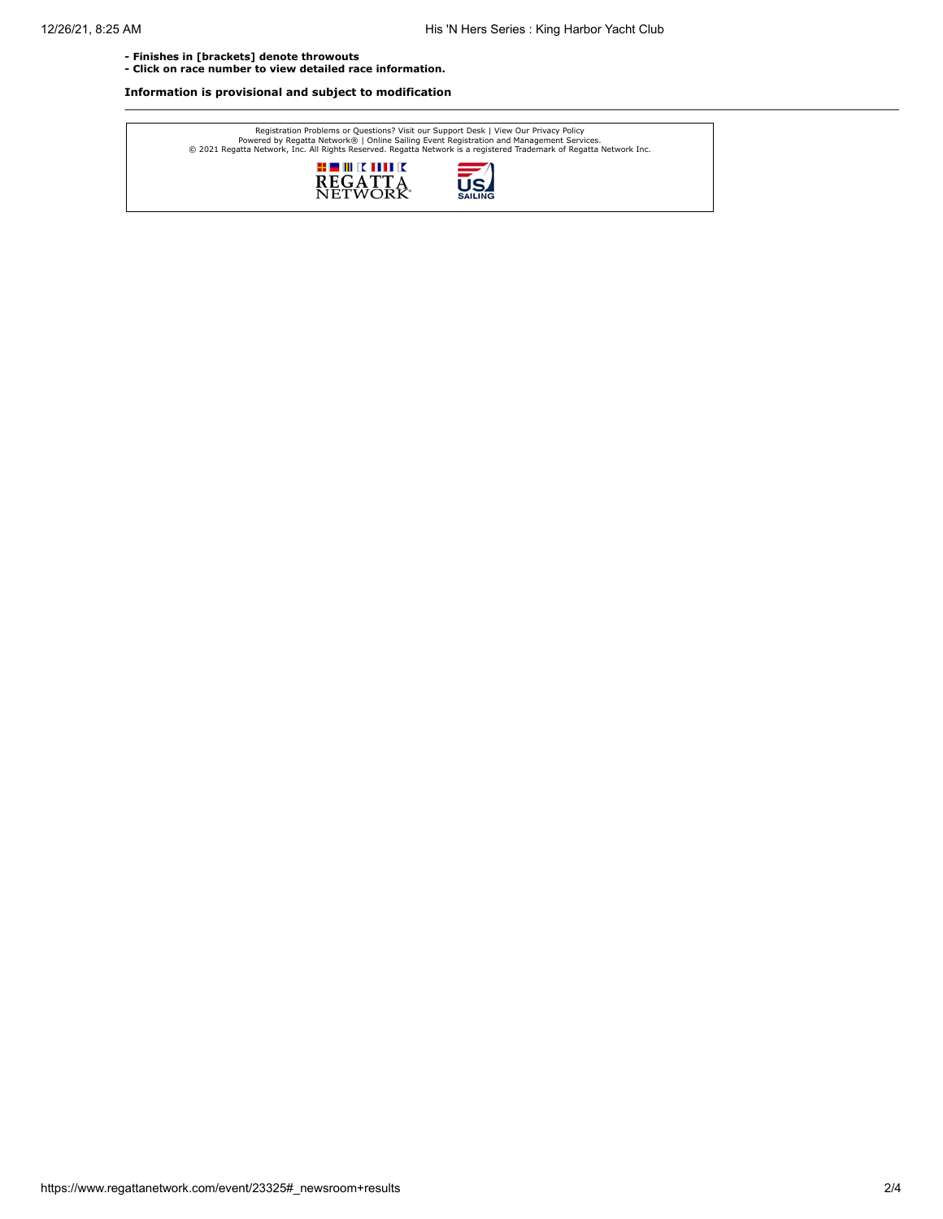**- Finishes in [brackets] denote throwouts** 

**- Click on race number to view detailed race information.**

**Information is provisional and subject to modification**